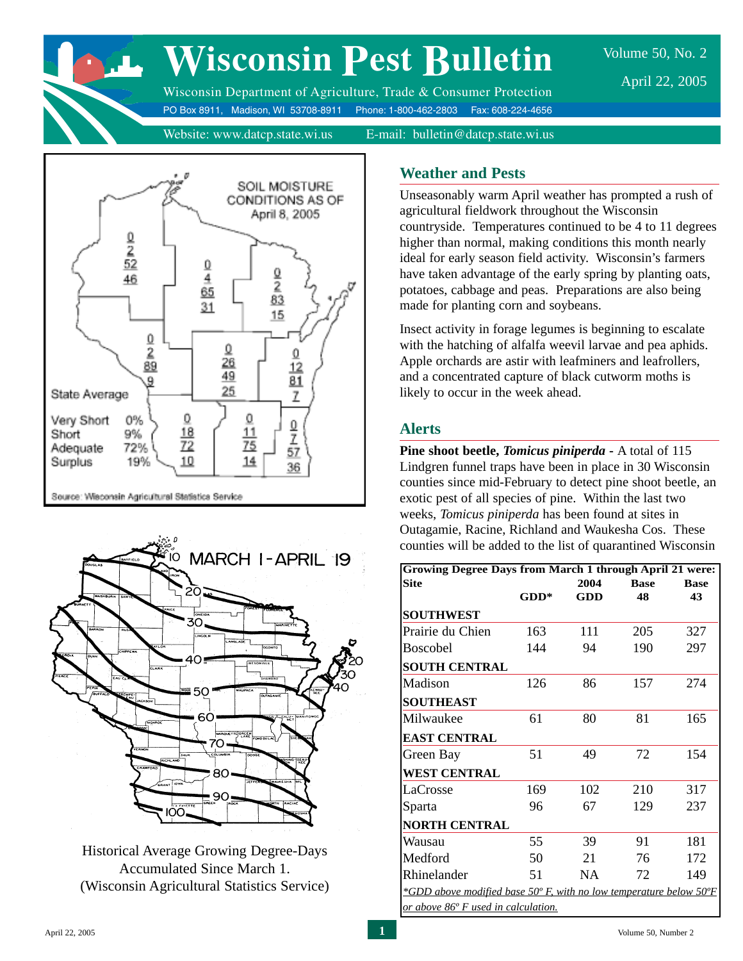

# **Wisconsin Pest Bulletin**

Volume 50, No. 2 April 22, 2005

Wisconsin Department of Agriculture, Trade & Consumer Protection PO Box 8911, Madison, WI 53708-8911 Phone: 1-800-462-2803 Fax: 608-224-4656

Website: www.datcp.state.wi.us E-mail: bulletin@datcp.state.wi.us





Historical Average Growing Degree-Days Accumulated Since March 1. (Wisconsin Agricultural Statistics Service)

#### **Weather and Pests**

Unseasonably warm April weather has prompted a rush of agricultural fieldwork throughout the Wisconsin countryside. Temperatures continued to be 4 to 11 degrees higher than normal, making conditions this month nearly ideal for early season field activity. Wisconsin's farmers have taken advantage of the early spring by planting oats, potatoes, cabbage and peas. Preparations are also being made for planting corn and soybeans.

Insect activity in forage legumes is beginning to escalate with the hatching of alfalfa weevil larvae and pea aphids. Apple orchards are astir with leafminers and leafrollers, and a concentrated capture of black cutworm moths is likely to occur in the week ahead.

#### **Alerts**

**Pine shoot beetle,** *Tomicus piniperda* **-** A total of 115 Lindgren funnel traps have been in place in 30 Wisconsin counties since mid-February to detect pine shoot beetle, an exotic pest of all species of pine. Within the last two weeks, *Tomicus piniperda* has been found at sites in Outagamie, Racine, Richland and Waukesha Cos. These counties will be added to the list of quarantined Wisconsin

| <b>GDD</b><br>111<br>94<br>86<br>80 | 48<br>205<br>190<br>157 | 43<br>327<br>297<br>274                                                                                          |
|-------------------------------------|-------------------------|------------------------------------------------------------------------------------------------------------------|
|                                     |                         |                                                                                                                  |
|                                     |                         |                                                                                                                  |
|                                     |                         |                                                                                                                  |
|                                     |                         |                                                                                                                  |
|                                     |                         |                                                                                                                  |
|                                     |                         |                                                                                                                  |
|                                     |                         |                                                                                                                  |
|                                     | 81                      | 165                                                                                                              |
|                                     |                         |                                                                                                                  |
| 49                                  | 72                      | 154                                                                                                              |
|                                     |                         |                                                                                                                  |
| 102                                 | 210                     | 317                                                                                                              |
| 67                                  | 129                     | 237                                                                                                              |
|                                     |                         |                                                                                                                  |
| 39                                  | 91                      | 181                                                                                                              |
| 21                                  | 76                      | 172                                                                                                              |
| <b>NA</b>                           | 72                      | 149                                                                                                              |
|                                     |                         |                                                                                                                  |
|                                     |                         | <i>*GDD above modified base 50° F, with no low temperature below 50°F</i><br>or above 86° F used in calculation. |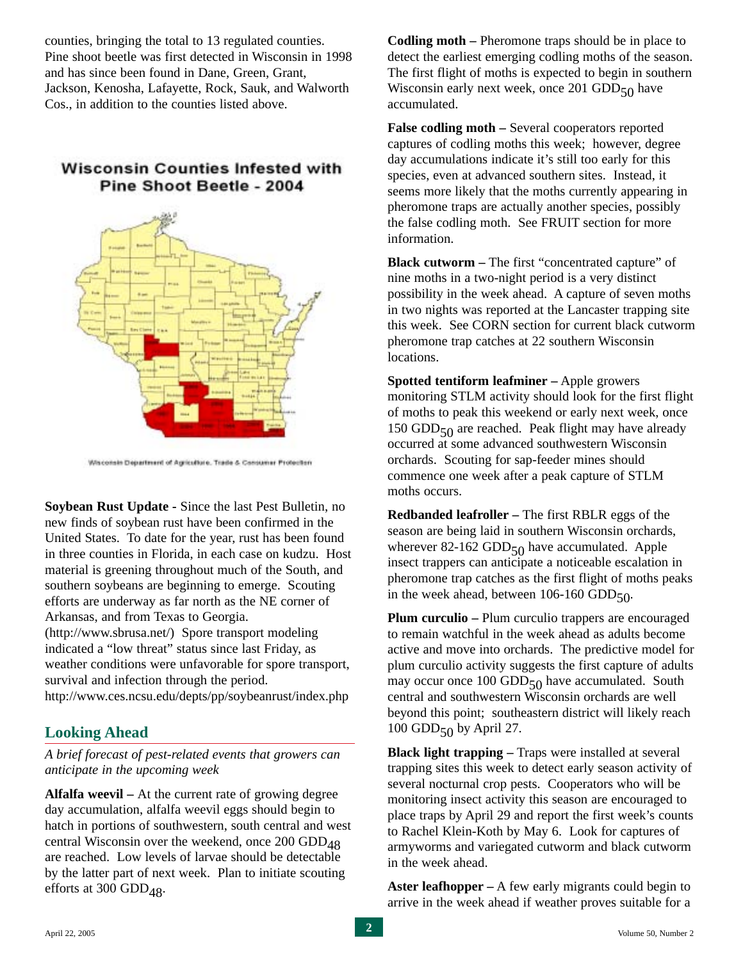counties, bringing the total to 13 regulated counties. Pine shoot beetle was first detected in Wisconsin in 1998 and has since been found in Dane, Green, Grant, Jackson, Kenosha, Lafayette, Rock, Sauk, and Walworth Cos., in addition to the counties listed above.

## **Wisconsin Counties Infested with** Pine Shoot Beetle - 2004



Waconsin Department of Agriculture, Trade & Consumer Protection

**Soybean Rust Update -** Since the last Pest Bulletin, no new finds of soybean rust have been confirmed in the United States. To date for the year, rust has been found in three counties in Florida, in each case on kudzu. Host material is greening throughout much of the South, and southern soybeans are beginning to emerge. Scouting efforts are underway as far north as the NE corner of Arkansas, and from Texas to Georgia.

(http://www.sbrusa.net/) Spore transport modeling indicated a "low threat" status since last Friday, as weather conditions were unfavorable for spore transport, survival and infection through the period.

http://www.ces.ncsu.edu/depts/pp/soybeanrust/index.php

#### **Looking Ahead**

*A brief forecast of pest-related events that growers can anticipate in the upcoming week*

**Alfalfa weevil –** At the current rate of growing degree day accumulation, alfalfa weevil eggs should begin to hatch in portions of southwestern, south central and west central Wisconsin over the weekend, once  $200$  GDD $_{48}$ are reached. Low levels of larvae should be detectable by the latter part of next week. Plan to initiate scouting efforts at 300 GDD $_{48}$ .

**Codling moth –** Pheromone traps should be in place to detect the earliest emerging codling moths of the season. The first flight of moths is expected to begin in southern Wisconsin early next week, once 201 GDD $_{50}$  have accumulated.

**False codling moth –** Several cooperators reported captures of codling moths this week; however, degree day accumulations indicate it's still too early for this species, even at advanced southern sites. Instead, it seems more likely that the moths currently appearing in pheromone traps are actually another species, possibly the false codling moth. See FRUIT section for more information.

**Black cutworm –** The first "concentrated capture" of nine moths in a two-night period is a very distinct possibility in the week ahead. A capture of seven moths in two nights was reported at the Lancaster trapping site this week. See CORN section for current black cutworm pheromone trap catches at 22 southern Wisconsin locations.

**Spotted tentiform leafminer –** Apple growers monitoring STLM activity should look for the first flight of moths to peak this weekend or early next week, once 150 GDD $_{50}$  are reached. Peak flight may have already occurred at some advanced southwestern Wisconsin orchards. Scouting for sap-feeder mines should commence one week after a peak capture of STLM moths occurs.

**Redbanded leafroller –** The first RBLR eggs of the season are being laid in southern Wisconsin orchards, wherever 82-162 GDD $_{50}$  have accumulated. Apple insect trappers can anticipate a noticeable escalation in pheromone trap catches as the first flight of moths peaks in the week ahead, between  $106-160$  GDD $_{50}$ .

**Plum curculio –** Plum curculio trappers are encouraged to remain watchful in the week ahead as adults become active and move into orchards. The predictive model for plum curculio activity suggests the first capture of adults may occur once 100 GDD $_{50}$  have accumulated. South central and southwestern Wisconsin orchards are well beyond this point; southeastern district will likely reach 100 GDD $_{50}$  by April 27.

**Black light trapping –** Traps were installed at several trapping sites this week to detect early season activity of several nocturnal crop pests. Cooperators who will be monitoring insect activity this season are encouraged to place traps by April 29 and report the first week's counts to Rachel Klein-Koth by May 6. Look for captures of armyworms and variegated cutworm and black cutworm in the week ahead.

**Aster leafhopper –** A few early migrants could begin to arrive in the week ahead if weather proves suitable for a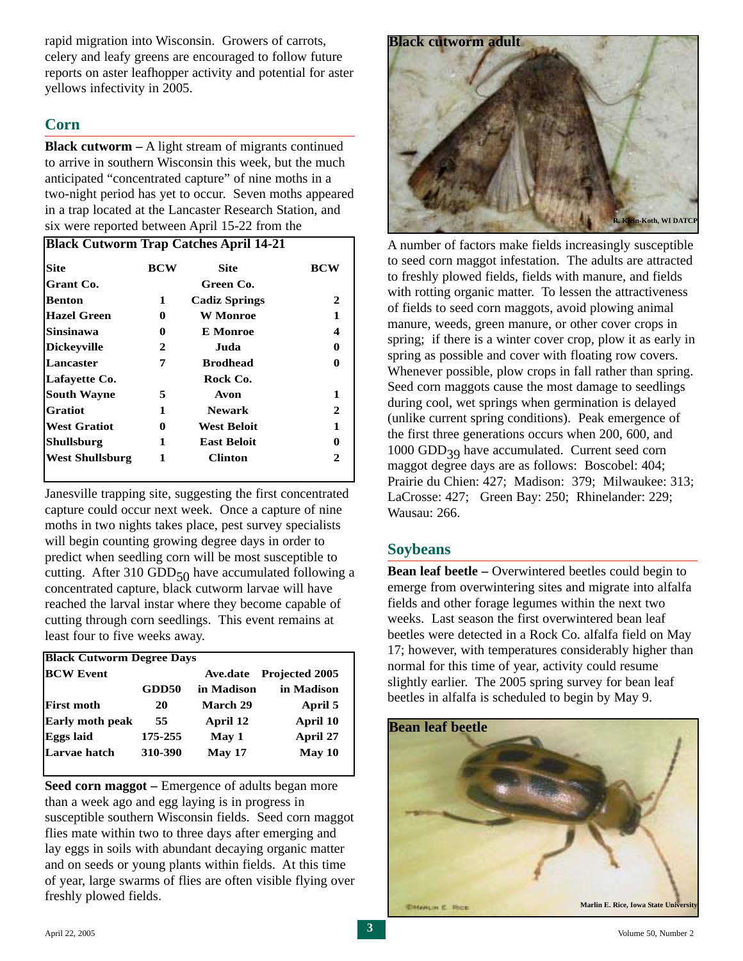rapid migration into Wisconsin. Growers of carrots, celery and leafy greens are encouraged to follow future reports on aster leafhopper activity and potential for aster yellows infectivity in 2005.

#### **Corn**

**Black cutworm –** A light stream of migrants continued to arrive in southern Wisconsin this week, but the much anticipated "concentrated capture" of nine moths in a two-night period has yet to occur. Seven moths appeared in a trap located at the Lancaster Research Station, and six were reported between April 15-22 from the

| Site                   | <b>BCW</b> | Site                 | <b>BCW</b> |
|------------------------|------------|----------------------|------------|
| Grant Co.              |            | Green Co.            |            |
| <b>Benton</b>          | 1          | <b>Cadiz Springs</b> | 2          |
| <b>Hazel Green</b>     | 0          | W Monroe             | 1          |
| Sinsinawa              | 0          | E Monroe             | 4          |
| <b>Dickeyville</b>     | 2          | Juda                 | 0          |
| Lancaster              | 7          | <b>Brodhead</b>      |            |
| Lafayette Co.          |            | Rock Co.             |            |
| <b>South Wayne</b>     | 5          | Avon                 | 1          |
| <b>Gratiot</b>         | 1          | <b>Newark</b>        | 2          |
| <b>West Gratiot</b>    | 0          | <b>West Beloit</b>   | 1          |
| Shullsburg             | 1          | <b>East Beloit</b>   | 0          |
| <b>West Shullsburg</b> | 1          | <b>Clinton</b>       |            |

Janesville trapping site, suggesting the first concentrated capture could occur next week. Once a capture of nine moths in two nights takes place, pest survey specialists will begin counting growing degree days in order to predict when seedling corn will be most susceptible to cutting. After 310 GDD $_{50}$  have accumulated following a concentrated capture, black cutworm larvae will have reached the larval instar where they become capable of cutting through corn seedlings. This event remains at least four to five weeks away.

| <b>Black Cutworm Degree Days</b> |         |            |                       |  |  |  |  |  |  |
|----------------------------------|---------|------------|-----------------------|--|--|--|--|--|--|
| <b>BCW Event</b>                 |         | Ave.date   | <b>Projected 2005</b> |  |  |  |  |  |  |
|                                  | GDD50   | in Madison | in Madison            |  |  |  |  |  |  |
| <b>First moth</b>                | 20      | March 29   | April 5               |  |  |  |  |  |  |
| <b>Early moth peak</b>           | 55      | April 12   | April 10              |  |  |  |  |  |  |
| <b>Eggs laid</b>                 | 175-255 | May 1      | April 27              |  |  |  |  |  |  |
| Larvae hatch                     | 310-390 | May 17     | May 10                |  |  |  |  |  |  |

**Seed corn maggot** – Emergence of adults began more than a week ago and egg laying is in progress in susceptible southern Wisconsin fields. Seed corn maggot flies mate within two to three days after emerging and lay eggs in soils with abundant decaying organic matter and on seeds or young plants within fields. At this time of year, large swarms of flies are often visible flying over freshly plowed fields.



A number of factors make fields increasingly susceptible to seed corn maggot infestation. The adults are attracted to freshly plowed fields, fields with manure, and fields with rotting organic matter. To lessen the attractiveness of fields to seed corn maggots, avoid plowing animal manure, weeds, green manure, or other cover crops in spring; if there is a winter cover crop, plow it as early in spring as possible and cover with floating row covers. Whenever possible, plow crops in fall rather than spring. Seed corn maggots cause the most damage to seedlings during cool, wet springs when germination is delayed (unlike current spring conditions). Peak emergence of the first three generations occurs when 200, 600, and  $1000$  GDD<sub>39</sub> have accumulated. Current seed corn maggot degree days are as follows: Boscobel: 404; Prairie du Chien: 427; Madison: 379; Milwaukee: 313; LaCrosse: 427; Green Bay: 250; Rhinelander: 229; Wausau: 266.

#### **Soybeans**

**Bean leaf beetle –** Overwintered beetles could begin to emerge from overwintering sites and migrate into alfalfa fields and other forage legumes within the next two weeks. Last season the first overwintered bean leaf beetles were detected in a Rock Co. alfalfa field on May 17; however, with temperatures considerably higher than normal for this time of year, activity could resume slightly earlier. The 2005 spring survey for bean leaf beetles in alfalfa is scheduled to begin by May 9.

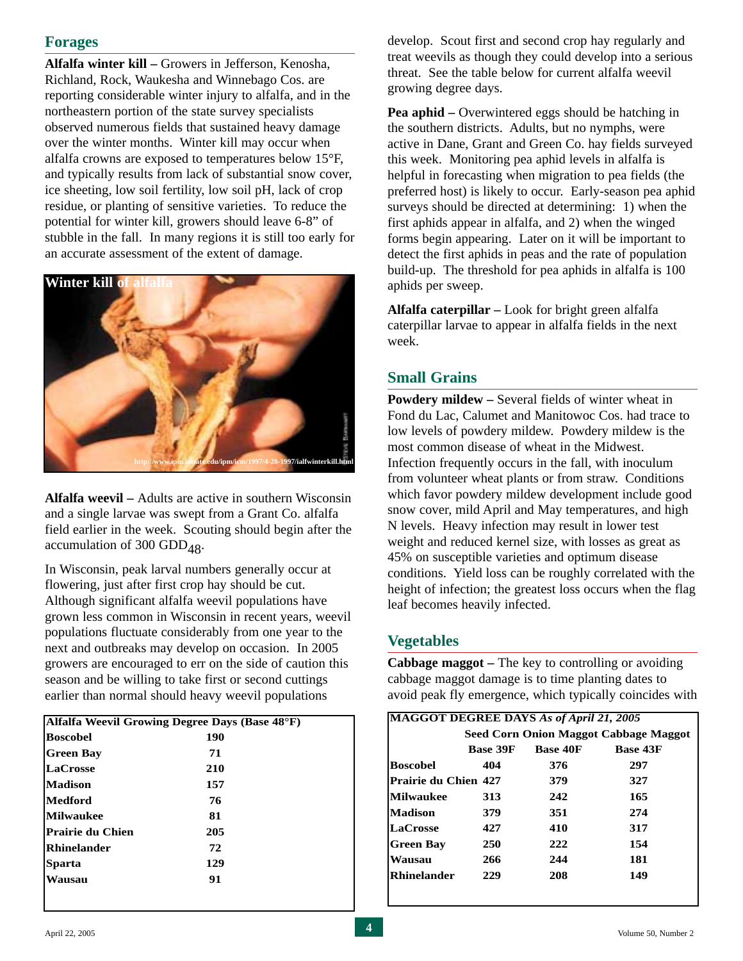## **Forages**

**Alfalfa winter kill –** Growers in Jefferson, Kenosha, Richland, Rock, Waukesha and Winnebago Cos. are reporting considerable winter injury to alfalfa, and in the northeastern portion of the state survey specialists observed numerous fields that sustained heavy damage over the winter months. Winter kill may occur when alfalfa crowns are exposed to temperatures below 15°F, and typically results from lack of substantial snow cover, ice sheeting, low soil fertility, low soil pH, lack of crop residue, or planting of sensitive varieties. To reduce the potential for winter kill, growers should leave 6-8" of stubble in the fall. In many regions it is still too early for an accurate assessment of the extent of damage.



**Alfalfa weevil –** Adults are active in southern Wisconsin and a single larvae was swept from a Grant Co. alfalfa field earlier in the week. Scouting should begin after the accumulation of 300 GDD<sub> $48$ </sub>.

In Wisconsin, peak larval numbers generally occur at flowering, just after first crop hay should be cut. Although significant alfalfa weevil populations have grown less common in Wisconsin in recent years, weevil populations fluctuate considerably from one year to the next and outbreaks may develop on occasion. In 2005 growers are encouraged to err on the side of caution this season and be willing to take first or second cuttings earlier than normal should heavy weevil populations

| Alfalfa Weevil Growing Degree Days (Base 48°F) |
|------------------------------------------------|
| 190                                            |
| 71                                             |
| 210                                            |
| 157                                            |
| 76                                             |
| 81                                             |
| 205                                            |
| 72                                             |
| 129                                            |
| 91                                             |
|                                                |

develop. Scout first and second crop hay regularly and treat weevils as though they could develop into a serious threat. See the table below for current alfalfa weevil growing degree days.

**Pea aphid –** Overwintered eggs should be hatching in the southern districts. Adults, but no nymphs, were active in Dane, Grant and Green Co. hay fields surveyed this week. Monitoring pea aphid levels in alfalfa is helpful in forecasting when migration to pea fields (the preferred host) is likely to occur. Early-season pea aphid surveys should be directed at determining: 1) when the first aphids appear in alfalfa, and 2) when the winged forms begin appearing. Later on it will be important to detect the first aphids in peas and the rate of population build-up. The threshold for pea aphids in alfalfa is 100 aphids per sweep.

**Alfalfa caterpillar –** Look for bright green alfalfa caterpillar larvae to appear in alfalfa fields in the next week.

#### **Small Grains**

**Powdery mildew –** Several fields of winter wheat in Fond du Lac, Calumet and Manitowoc Cos. had trace to low levels of powdery mildew. Powdery mildew is the most common disease of wheat in the Midwest. Infection frequently occurs in the fall, with inoculum from volunteer wheat plants or from straw. Conditions which favor powdery mildew development include good snow cover, mild April and May temperatures, and high N levels. Heavy infection may result in lower test weight and reduced kernel size, with losses as great as 45% on susceptible varieties and optimum disease conditions. Yield loss can be roughly correlated with the height of infection; the greatest loss occurs when the flag leaf becomes heavily infected.

#### **Vegetables**

**Cabbage maggot –** The key to controlling or avoiding cabbage maggot damage is to time planting dates to avoid peak fly emergence, which typically coincides with

| MAGGOT DEGREE DAYS As of April 21, 2005 |                 |     |                                       |
|-----------------------------------------|-----------------|-----|---------------------------------------|
|                                         |                 |     | Seed Corn Onion Maggot Cabbage Maggot |
|                                         | <b>Base 43F</b> |     |                                       |
| <b>Boscobel</b>                         | 404             | 376 | 297                                   |
| Prairie du Chien 427                    |                 | 379 | 327                                   |
| <b>Milwaukee</b>                        | 313             | 242 | 165                                   |
| <b>Madison</b>                          | 379             | 351 | 274                                   |
| <b>LaCrosse</b>                         | 427             | 410 | 317                                   |
| <b>Green Bay</b>                        | <b>250</b>      | 222 | 154                                   |
| Wausau                                  | 266             | 244 | 181                                   |
| <b>Rhinelander</b>                      | 229             | 208 | 149                                   |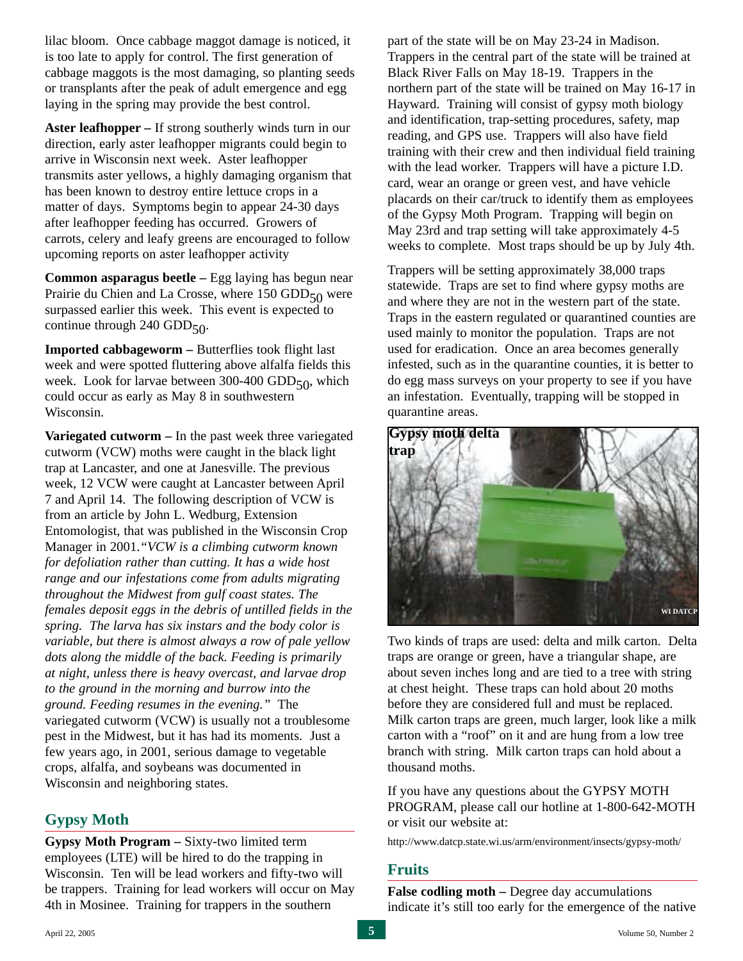lilac bloom. Once cabbage maggot damage is noticed, it is too late to apply for control. The first generation of cabbage maggots is the most damaging, so planting seeds or transplants after the peak of adult emergence and egg laying in the spring may provide the best control.

**Aster leafhopper –** If strong southerly winds turn in our direction, early aster leafhopper migrants could begin to arrive in Wisconsin next week. Aster leafhopper transmits aster yellows, a highly damaging organism that has been known to destroy entire lettuce crops in a matter of days. Symptoms begin to appear 24-30 days after leafhopper feeding has occurred. Growers of carrots, celery and leafy greens are encouraged to follow upcoming reports on aster leafhopper activity

**Common asparagus beetle –** Egg laying has begun near Prairie du Chien and La Crosse, where  $150$  GDD $_{50}$  were surpassed earlier this week. This event is expected to continue through 240 GDD $_{50}$ .

**Imported cabbageworm –** Butterflies took flight last week and were spotted fluttering above alfalfa fields this week. Look for larvae between 300-400  $GDD_{50}$ , which could occur as early as May 8 in southwestern Wisconsin.

**Variegated cutworm –** In the past week three variegated cutworm (VCW) moths were caught in the black light trap at Lancaster, and one at Janesville. The previous week, 12 VCW were caught at Lancaster between April 7 and April 14. The following description of VCW is from an article by John L. Wedburg, Extension Entomologist, that was published in the Wisconsin Crop Manager in 2001.*"VCW is a climbing cutworm known for defoliation rather than cutting. It has a wide host range and our infestations come from adults migrating throughout the Midwest from gulf coast states. The females deposit eggs in the debris of untilled fields in the spring. The larva has six instars and the body color is variable, but there is almost always a row of pale yellow dots along the middle of the back. Feeding is primarily at night, unless there is heavy overcast, and larvae drop to the ground in the morning and burrow into the ground. Feeding resumes in the evening."* The variegated cutworm (VCW) is usually not a troublesome pest in the Midwest, but it has had its moments. Just a few years ago, in 2001, serious damage to vegetable crops, alfalfa, and soybeans was documented in Wisconsin and neighboring states.

#### **Gypsy Moth**

**Gypsy Moth Program –** Sixty-two limited term employees (LTE) will be hired to do the trapping in Wisconsin. Ten will be lead workers and fifty-two will be trappers. Training for lead workers will occur on May 4th in Mosinee. Training for trappers in the southern

part of the state will be on May 23-24 in Madison. Trappers in the central part of the state will be trained at Black River Falls on May 18-19. Trappers in the northern part of the state will be trained on May 16-17 in Hayward. Training will consist of gypsy moth biology and identification, trap-setting procedures, safety, map reading, and GPS use. Trappers will also have field training with their crew and then individual field training with the lead worker. Trappers will have a picture I.D. card, wear an orange or green vest, and have vehicle placards on their car/truck to identify them as employees of the Gypsy Moth Program. Trapping will begin on May 23rd and trap setting will take approximately 4-5 weeks to complete. Most traps should be up by July 4th.

Trappers will be setting approximately 38,000 traps statewide. Traps are set to find where gypsy moths are and where they are not in the western part of the state. Traps in the eastern regulated or quarantined counties are used mainly to monitor the population. Traps are not used for eradication. Once an area becomes generally infested, such as in the quarantine counties, it is better to do egg mass surveys on your property to see if you have an infestation. Eventually, trapping will be stopped in quarantine areas.



Two kinds of traps are used: delta and milk carton. Delta traps are orange or green, have a triangular shape, are about seven inches long and are tied to a tree with string at chest height. These traps can hold about 20 moths before they are considered full and must be replaced. Milk carton traps are green, much larger, look like a milk carton with a "roof" on it and are hung from a low tree branch with string. Milk carton traps can hold about a thousand moths.

If you have any questions about the GYPSY MOTH PROGRAM, please call our hotline at 1-800-642-MOTH or visit our website at:

http://www.datcp.state.wi.us/arm/environment/insects/gypsy-moth/

#### **Fruits**

**False codling moth – Degree day accumulations** indicate it's still too early for the emergence of the native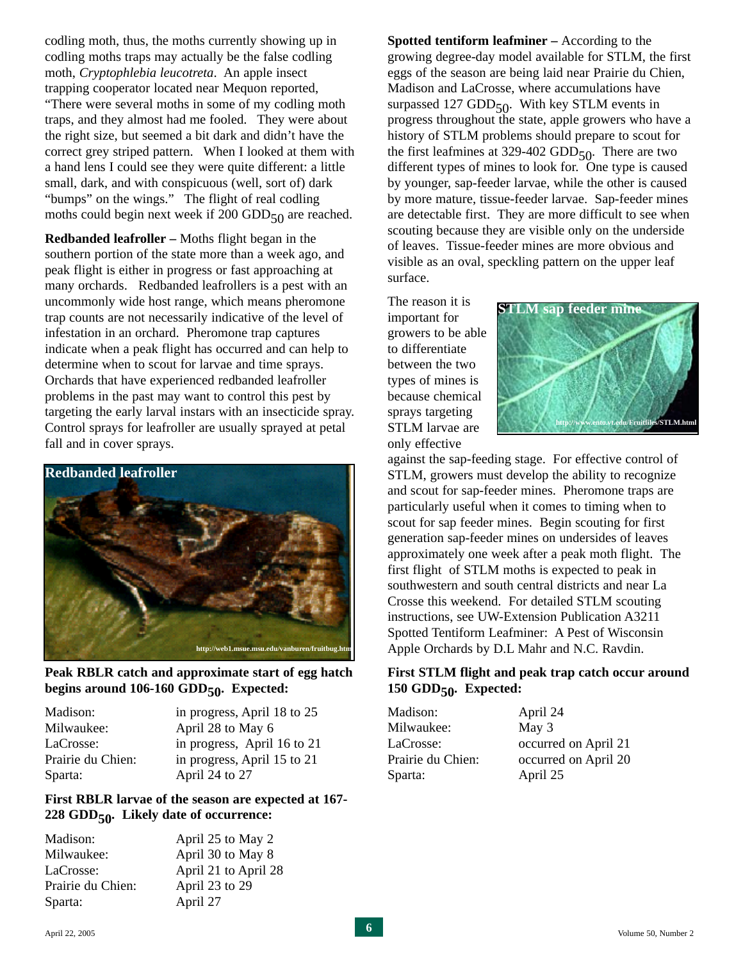codling moth, thus, the moths currently showing up in codling moths traps may actually be the false codling moth, *Cryptophlebia leucotreta*. An apple insect trapping cooperator located near Mequon reported, "There were several moths in some of my codling moth traps, and they almost had me fooled. They were about the right size, but seemed a bit dark and didn't have the correct grey striped pattern. When I looked at them with a hand lens I could see they were quite different: a little small, dark, and with conspicuous (well, sort of) dark "bumps" on the wings." The flight of real codling moths could begin next week if 200 GDD $_{50}$  are reached.

**Redbanded leafroller –** Moths flight began in the southern portion of the state more than a week ago, and peak flight is either in progress or fast approaching at many orchards. Redbanded leafrollers is a pest with an uncommonly wide host range, which means pheromone trap counts are not necessarily indicative of the level of infestation in an orchard. Pheromone trap captures indicate when a peak flight has occurred and can help to determine when to scout for larvae and time sprays. Orchards that have experienced redbanded leafroller problems in the past may want to control this pest by targeting the early larval instars with an insecticide spray. Control sprays for leafroller are usually sprayed at petal fall and in cover sprays.



**Peak RBLR catch and approximate start of egg hatch** begins around 106-160 GDD<sub>50</sub>. Expected:

| in progress, April 18 to 25 |
|-----------------------------|
| April 28 to May 6           |
| in progress, April 16 to 21 |
| in progress, April 15 to 21 |
| April 24 to 27              |
|                             |

#### **First RBLR larvae of the season are expected at 167- 228 GDD50. Likely date of occurrence:**

| Madison:          | April 25 to May 2    |
|-------------------|----------------------|
| Milwaukee:        | April 30 to May 8    |
| LaCrosse:         | April 21 to April 28 |
| Prairie du Chien: | April 23 to 29       |
| Sparta:           | April 27             |
|                   |                      |

**Spotted tentiform leafminer –** According to the growing degree-day model available for STLM, the first eggs of the season are being laid near Prairie du Chien, Madison and LaCrosse, where accumulations have surpassed 127 GDD $_{50}$ . With key STLM events in progress throughout the state, apple growers who have a history of STLM problems should prepare to scout for the first leafmines at 329-402 GDD $_{50}$ . There are two different types of mines to look for. One type is caused by younger, sap-feeder larvae, while the other is caused by more mature, tissue-feeder larvae. Sap-feeder mines are detectable first. They are more difficult to see when scouting because they are visible only on the underside of leaves. Tissue-feeder mines are more obvious and visible as an oval, speckling pattern on the upper leaf surface.

The reason it is important for growers to be able to differentiate between the two types of mines is because chemical sprays targeting STLM larvae are only effective



against the sap-feeding stage. For effective control of STLM, growers must develop the ability to recognize and scout for sap-feeder mines. Pheromone traps are particularly useful when it comes to timing when to scout for sap feeder mines. Begin scouting for first generation sap-feeder mines on undersides of leaves approximately one week after a peak moth flight. The first flight of STLM moths is expected to peak in southwestern and south central districts and near La Crosse this weekend. For detailed STLM scouting instructions, see UW-Extension Publication A3211 Spotted Tentiform Leafminer: A Pest of Wisconsin Apple Orchards by D.L Mahr and N.C. Ravdin.

#### **First STLM flight and peak trap catch occur around 150 GDD50. Expected:**

| Madison:          | April 24             |
|-------------------|----------------------|
| Milwaukee:        | May 3                |
| LaCrosse:         | occurred on April 21 |
| Prairie du Chien: | occurred on April 20 |
| Sparta:           | April 25             |
|                   |                      |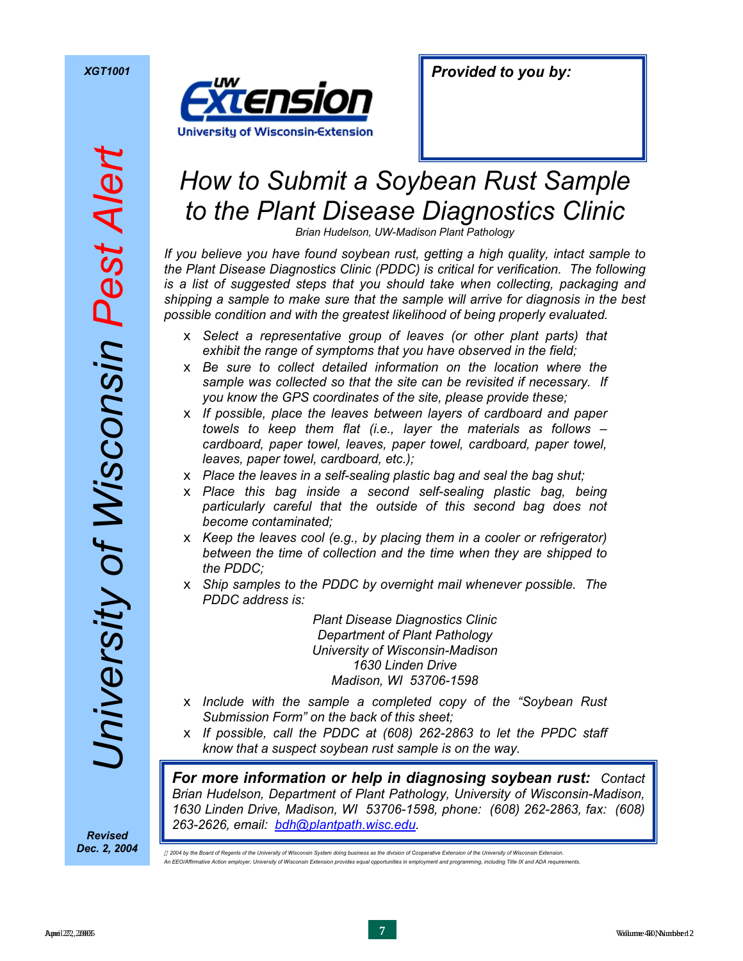

# *How to Submit a Soybean Rust Sample to the Plant Disease Diagnostics Clinic*

*Brian Hudelson, UW-Madison Plant Pathology* 

*If you believe you have found soybean rust, getting a high quality, intact sample to the Plant Disease Diagnostics Clinic (PDDC) is critical for verification. The following is a list of suggested steps that you should take when collecting, packaging and shipping a sample to make sure that the sample will arrive for diagnosis in the best possible condition and with the greatest likelihood of being properly evaluated.* 

- x *Select a representative group of leaves (or other plant parts) that exhibit the range of symptoms that you have observed in the field;*
- x *Be sure to collect detailed information on the location where the sample was collected so that the site can be revisited if necessary. If you know the GPS coordinates of the site, please provide these;*
- x *If possible, place the leaves between layers of cardboard and paper towels to keep them flat (i.e., layer the materials as follows – cardboard, paper towel, leaves, paper towel, cardboard, paper towel, leaves, paper towel, cardboard, etc.);*
- x *Place the leaves in a self-sealing plastic bag and seal the bag shut;*
- x *Place this bag inside a second self-sealing plastic bag, being particularly careful that the outside of this second bag does not become contaminated;*
- x *Keep the leaves cool (e.g., by placing them in a cooler or refrigerator) between the time of collection and the time when they are shipped to the PDDC;*
- x *Ship samples to the PDDC by overnight mail whenever possible. The PDDC address is:*

*Plant Disease Diagnostics Clinic Department of Plant Pathology University of Wisconsin-Madison 1630 Linden Drive Madison, WI 53706-1598* 

- x *Include with the sample a completed copy of the "Soybean Rust Submission Form" on the back of this sheet;*
- x *If possible, call the PDDC at (608) 262-2863 to let the PPDC staff know that a suspect soybean rust sample is on the way.*

*For more information or help in diagnosing soybean rust: Contact Brian Hudelson, Department of Plant Pathology, University of Wisconsin-Madison, 1630 Linden Drive, Madison, WI 53706-1598, phone: (608) 262-2863, fax: (608) 263-2626, email: bdh@plantpath.wisc.edu. Revised* 

*Dec. 2, 2004* 

 $\oplus$  2004 by the Board of Regents of the University of Wisconsin System doing business as the division of Cooperative Extension of the University of Wisconsin Extension *An EEO/Affirmative Action employer, University of Wisconsin Extension provides equal opportunities in employment and programming, including Title IX and ADA requirements.*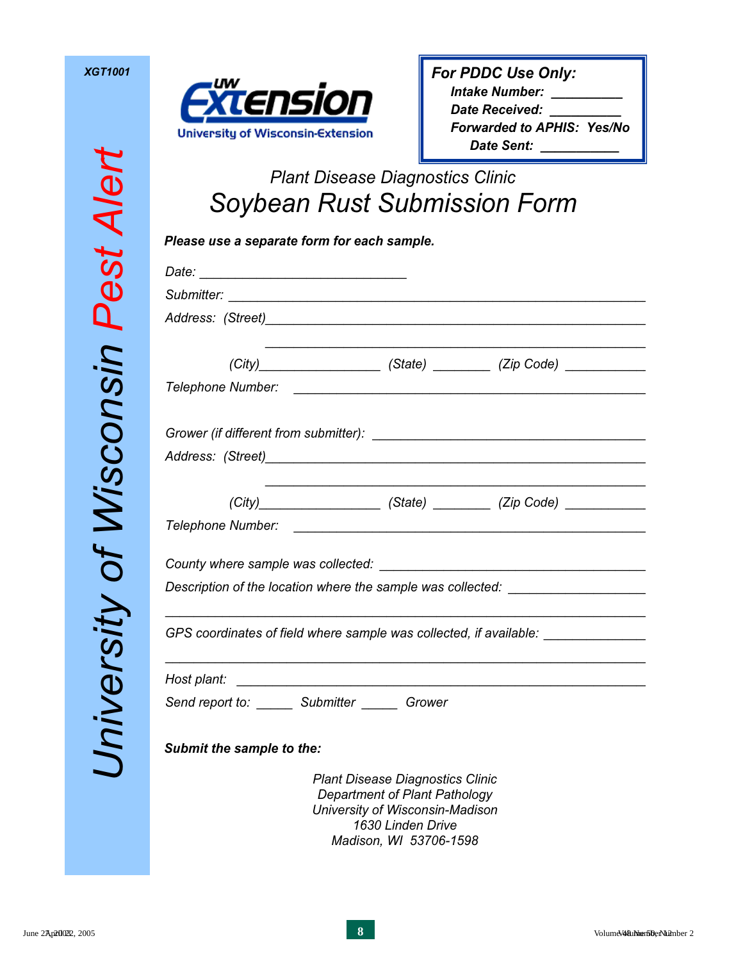

| For PDDC Use Only:                |  |
|-----------------------------------|--|
| <b>Intake Number:</b>             |  |
| <b>Date Received:</b>             |  |
| <b>Forwarded to APHIS: Yes/No</b> |  |
| Date Sent:                        |  |

# *Plant Disease Diagnostics Clinic Soybean Rust Submission Form*

| Address: (Street)<br>and The Contract of the Contract of the Contract of the Contract of the Contract of the Contract of the Contract of the Contract of the Contract of the Contract of the Contract of the Contract of the Con |                                         |                                                                             |
|----------------------------------------------------------------------------------------------------------------------------------------------------------------------------------------------------------------------------------|-----------------------------------------|-----------------------------------------------------------------------------|
|                                                                                                                                                                                                                                  |                                         | (City)______________________(State) __________ (Zip Code) _________________ |
|                                                                                                                                                                                                                                  |                                         |                                                                             |
|                                                                                                                                                                                                                                  |                                         |                                                                             |
|                                                                                                                                                                                                                                  |                                         |                                                                             |
|                                                                                                                                                                                                                                  |                                         | (City) (State) (State) (Zip Code)                                           |
|                                                                                                                                                                                                                                  |                                         |                                                                             |
|                                                                                                                                                                                                                                  |                                         |                                                                             |
| Description of the location where the sample was collected: ____________________                                                                                                                                                 |                                         |                                                                             |
| GPS coordinates of field where sample was collected, if available: _____________                                                                                                                                                 |                                         |                                                                             |
|                                                                                                                                                                                                                                  |                                         |                                                                             |
| Send report to: _______ Submitter _______ Grower                                                                                                                                                                                 |                                         |                                                                             |
| Submit the sample to the:                                                                                                                                                                                                        |                                         |                                                                             |
|                                                                                                                                                                                                                                  | <b>Plant Disease Diagnostics Clinic</b> |                                                                             |

*Department of Plant Pathology University of Wisconsin-Madison 1630 Linden Drive Madison, WI 53706-1598*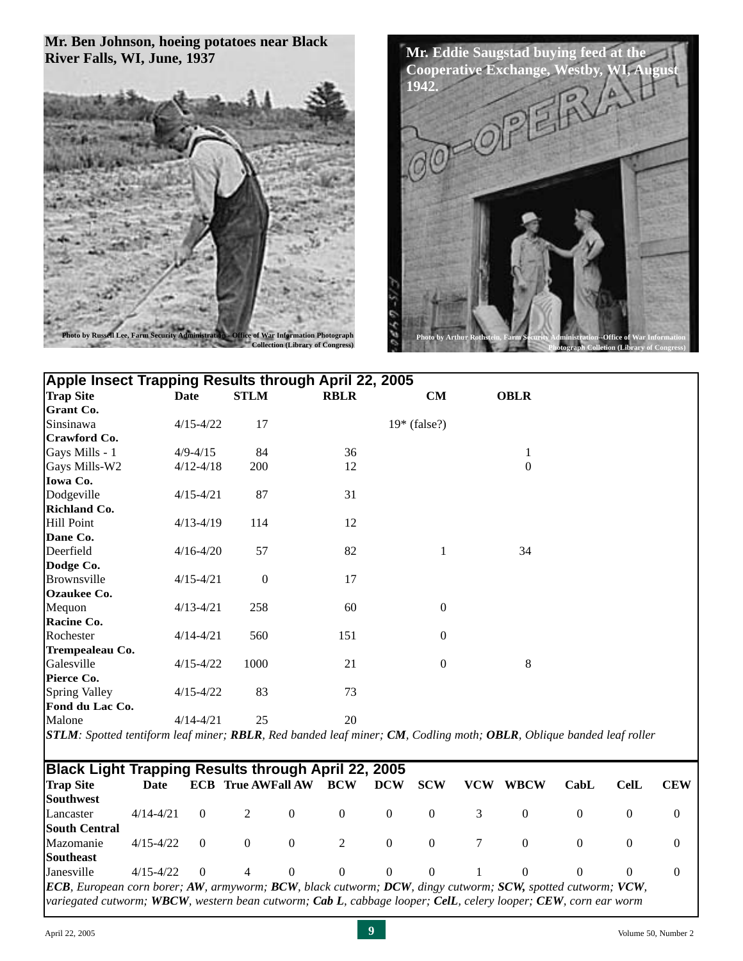#### **Mr. Ben Johnson, hoeing potatoes near Black River Falls, WI, June, 1937**





| Apple Insect Trapping Results through April 22, 2005 |               |                  |             |                  |                  |  |  |  |
|------------------------------------------------------|---------------|------------------|-------------|------------------|------------------|--|--|--|
| <b>Trap Site</b>                                     | Date          | <b>STLM</b>      | <b>RBLR</b> | CM               | <b>OBLR</b>      |  |  |  |
| <b>Grant Co.</b>                                     |               |                  |             |                  |                  |  |  |  |
| Sinsinawa                                            | $4/15 - 4/22$ | 17               |             | $19*$ (false?)   |                  |  |  |  |
| Crawford Co.                                         |               |                  |             |                  |                  |  |  |  |
| Gays Mills - 1                                       | $4/9 - 4/15$  | 84               | 36          |                  | $\mathbf{1}$     |  |  |  |
| Gays Mills-W2                                        | $4/12 - 4/18$ | 200              | 12          |                  | $\boldsymbol{0}$ |  |  |  |
| Iowa Co.                                             |               |                  |             |                  |                  |  |  |  |
| Dodgeville                                           | $4/15 - 4/21$ | 87               | 31          |                  |                  |  |  |  |
| <b>Richland Co.</b>                                  |               |                  |             |                  |                  |  |  |  |
| Hill Point                                           | $4/13 - 4/19$ | 114              | 12          |                  |                  |  |  |  |
| Dane Co.                                             |               |                  |             |                  |                  |  |  |  |
| Deerfield                                            | $4/16 - 4/20$ | 57               | 82          | 1                | 34               |  |  |  |
| Dodge Co.                                            |               |                  |             |                  |                  |  |  |  |
| Brownsville                                          | $4/15 - 4/21$ | $\boldsymbol{0}$ | 17          |                  |                  |  |  |  |
| <b>Ozaukee Co.</b>                                   |               |                  |             |                  |                  |  |  |  |
| Mequon                                               | $4/13 - 4/21$ | 258              | 60          | $\boldsymbol{0}$ |                  |  |  |  |
| Racine Co.                                           |               |                  |             |                  |                  |  |  |  |
| Rochester                                            | $4/14 - 4/21$ | 560              | 151         | $\boldsymbol{0}$ |                  |  |  |  |
| Trempealeau Co.                                      |               |                  |             |                  |                  |  |  |  |
| Galesville                                           | $4/15 - 4/22$ | 1000             | 21          | $\boldsymbol{0}$ | $\,8\,$          |  |  |  |
| Pierce Co.                                           |               |                  |             |                  |                  |  |  |  |
| <b>Spring Valley</b>                                 | $4/15 - 4/22$ | 83               | 73          |                  |                  |  |  |  |
| Fond du Lac Co.                                      |               |                  |             |                  |                  |  |  |  |
| Malone                                               | $4/14 - 4/21$ | 25               | 20          |                  |                  |  |  |  |

*STLM: Spotted tentiform leaf miner; RBLR, Red banded leaf miner; CM, Codling moth; OBLR, Oblique banded leaf roller*

| Black Light Trapping Results through April 22, 2005                                                                |               |          |                           |          |            |            |            |            |             |          |             |            |
|--------------------------------------------------------------------------------------------------------------------|---------------|----------|---------------------------|----------|------------|------------|------------|------------|-------------|----------|-------------|------------|
| <b>Trap Site</b>                                                                                                   | Date          |          | <b>ECB</b> True AWFall AW |          | <b>BCW</b> | <b>DCW</b> | <b>SCW</b> | <b>VCW</b> | <b>WBCW</b> | CabL     | <b>CelL</b> | <b>CEW</b> |
| <b>Southwest</b>                                                                                                   |               |          |                           |          |            |            |            |            |             |          |             |            |
| Lancaster                                                                                                          | $4/14 - 4/21$ | $\Omega$ | 2                         | $\theta$ | $\Omega$   | $\Omega$   | $\Omega$   | 3          | $\theta$    |          | $\theta$    | $\theta$   |
| <b>South Central</b>                                                                                               |               |          |                           |          |            |            |            |            |             |          |             |            |
| Mazomanie                                                                                                          | $4/15 - 4/22$ | $\Omega$ | $\theta$                  | $\theta$ | 2          | $\Omega$   | $\Omega$   |            | $\left($    | $\Omega$ | $\theta$    | $\theta$   |
| <b>Southeast</b>                                                                                                   |               |          |                           |          |            |            |            |            |             |          |             |            |
| Janesville                                                                                                         | $4/15 - 4/22$ | $\Omega$ | 4                         | $\theta$ | $\Omega$   | $\Omega$   | $\Omega$   |            | $\Omega$    | $\theta$ | $\theta$    | $\theta$   |
| <b>ECB</b> , European corn borer; AW, armyworm; BCW, black cutworm; DCW, dingy cutworm; SCW, spotted cutworm; VCW, |               |          |                           |          |            |            |            |            |             |          |             |            |
| variegated cutworm; WBCW, western bean cutworm; Cab L, cabbage looper; CelL, celery looper; CEW, corn ear worm     |               |          |                           |          |            |            |            |            |             |          |             |            |